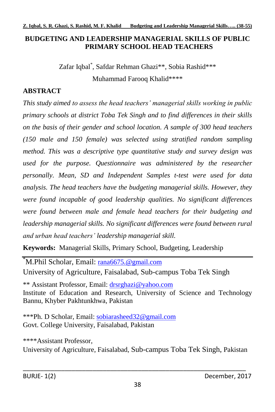#### **BUDGETING AND LEADERSHIP MANAGERIAL SKILLS OF PUBLIC PRIMARY SCHOOL HEAD TEACHERS**

Zafar Iqbal\* , Safdar Rehman Ghazi\*\*, Sobia Rashid\*\*\* Muhammad Farooq Khalid\*\*\*\*

# **ABSTRACT**

*This study aimed to assess the head teachers' managerial skills working in public primary schools at district Toba Tek Singh and to find differences in their skills on the basis of their gender and school location. A sample of 300 head teachers (150 male and 150 female) was selected using stratified random sampling method. This was a descriptive type quantitative study and survey design was used for the purpose. Questionnaire was administered by the researcher personally. Mean, SD and Independent Samples t-test were used for data analysis. The head teachers have the budgeting managerial skills. However, they were found incapable of good leadership qualities. No significant differences were found between male and female head teachers for their budgeting and leadership managerial skills. No significant differences were found between rural and urban head teachers' leadership managerial skill.*

**Keywords:** Managerial Skills, Primary School, Budgeting, Leadership

\*M.Phil Scholar, Email: [rana6675.@gmail.com](mailto:rana6675.@gmail.com) University of Agriculture, Faisalabad, Sub-campus Toba Tek Singh

\*\* Assistant Professor, Email: [drsrghazi@yahoo.com](mailto:drsrghazi@yahoo.com) Institute of Education and Research, University of Science and Technology Bannu, Khyber Pakhtunkhwa, Pakistan

\*\*\*Ph. D Scholar, Email: [sobiarasheed32@gmail.com](mailto:sobiarasheed32@gmail.com) Govt. College University, Faisalabad, Pakistan

\*\*\*\*Assistant Professor, University of Agriculture, Faisalabad, Sub-campus Toba Tek Singh, Pakistan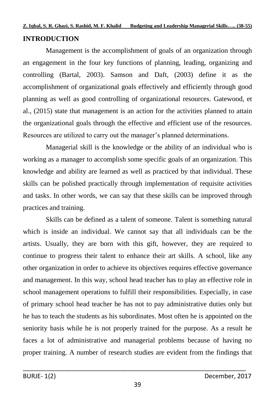#### **INTRODUCTION**

Management is the accomplishment of goals of an organization through an engagement in the four key functions of planning, leading, organizing and controlling (Bartal, 2003). Samson and Daft, (2003) define it as the accomplishment of organizational goals effectively and efficiently through good planning as well as good controlling of organizational resources. Gatewood, et al., (2015) state that management is an action for the activities planned to attain the organizational goals through the effective and efficient use of the resources. Resources are utilized to carry out the manager's planned determinations.

Managerial skill is the knowledge or the ability of an individual who is working as a manager to accomplish some specific goals of an organization. This knowledge and ability are learned as well as practiced by that individual. These skills can be polished practically through implementation of requisite activities and tasks. In other words, we can say that these skills can be improved through practices and training.

Skills can be defined as a talent of someone. Talent is something natural which is inside an individual. We cannot say that all individuals can be the artists. Usually, they are born with this gift, however, they are required to continue to progress their talent to enhance their art skills. A school, like any other organization in order to achieve its objectives requires effective governance and management. In this way, school head teacher has to play an effective role in school management operations to fulfill their responsibilities. Especially, in case of primary school head teacher he has not to pay administrative duties only but he has to teach the students as his subordinates. Most often he is appointed on the seniority basis while he is not properly trained for the purpose. As a result he faces a lot of administrative and managerial problems because of having no proper training. A number of research studies are evident from the findings that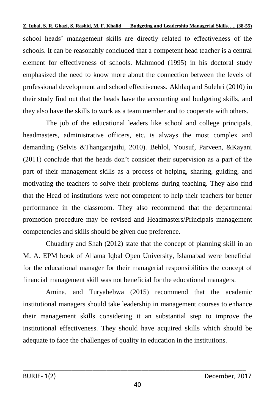school heads' management skills are directly related to effectiveness of the schools. It can be reasonably concluded that a competent head teacher is a central element for effectiveness of schools. Mahmood (1995) in his doctoral study emphasized the need to know more about the connection between the levels of professional development and school effectiveness. Akhlaq and Sulehri (2010) in their study find out that the heads have the accounting and budgeting skills, and they also have the skills to work as a team member and to cooperate with others.

The job of the educational leaders like school and college principals, headmasters, administrative officers, etc. is always the most complex and demanding (Selvis &Thangarajathi, 2010). Behlol, Yousuf, Parveen, &Kayani (2011) conclude that the heads don't consider their supervision as a part of the part of their management skills as a process of helping, sharing, guiding, and motivating the teachers to solve their problems during teaching. They also find that the Head of institutions were not competent to help their teachers for better performance in the classroom. They also recommend that the departmental promotion procedure may be revised and Headmasters/Principals management competencies and skills should be given due preference.

Chuadhry and Shah (2012) state that the concept of planning skill in an M. A. EPM book of Allama Iqbal Open University, Islamabad were beneficial for the educational manager for their managerial responsibilities the concept of financial management skill was not beneficial for the educational managers.

Amina, and Turyahebwa (2015) recommend that the academic institutional managers should take leadership in management courses to enhance their management skills considering it an substantial step to improve the institutional effectiveness. They should have acquired skills which should be adequate to face the challenges of quality in education in the institutions.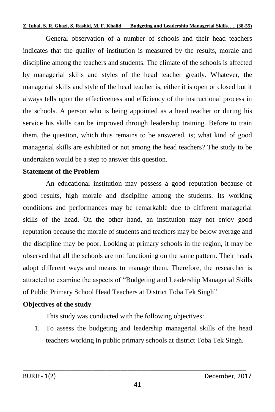General observation of a number of schools and their head teachers indicates that the quality of institution is measured by the results, morale and discipline among the teachers and students. The climate of the schools is affected by managerial skills and styles of the head teacher greatly. Whatever, the managerial skills and style of the head teacher is, either it is open or closed but it always tells upon the effectiveness and efficiency of the instructional process in the schools. A person who is being appointed as a head teacher or during his service his skills can be improved through leadership training. Before to train them, the question, which thus remains to be answered, is; what kind of good managerial skills are exhibited or not among the head teachers? The study to be undertaken would be a step to answer this question.

#### **Statement of the Problem**

An educational institution may possess a good reputation because of good results, high morale and discipline among the students. Its working conditions and performances may be remarkable due to different managerial skills of the head. On the other hand, an institution may not enjoy good reputation because the morale of students and teachers may be below average and the discipline may be poor. Looking at primary schools in the region, it may be observed that all the schools are not functioning on the same pattern. Their heads adopt different ways and means to manage them. Therefore, the researcher is attracted to examine the aspects of "Budgeting and Leadership Managerial Skills of Public Primary School Head Teachers at District Toba Tek Singh".

#### **Objectives of the study**

This study was conducted with the following objectives:

1. To assess the budgeting and leadership managerial skills of the head teachers working in public primary schools at district Toba Tek Singh.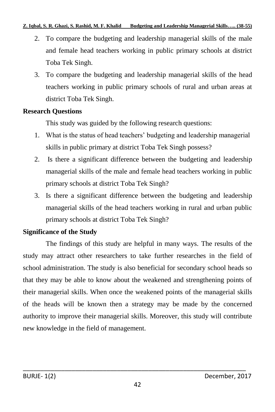- 2. To compare the budgeting and leadership managerial skills of the male and female head teachers working in public primary schools at district Toba Tek Singh.
- 3. To compare the budgeting and leadership managerial skills of the head teachers working in public primary schools of rural and urban areas at district Toba Tek Singh.

## **Research Questions**

This study was guided by the following research questions:

- 1. What is the status of head teachers' budgeting and leadership managerial skills in public primary at district Toba Tek Singh possess?
- 2. Is there a significant difference between the budgeting and leadership managerial skills of the male and female head teachers working in public primary schools at district Toba Tek Singh?
- 3. Is there a significant difference between the budgeting and leadership managerial skills of the head teachers working in rural and urban public primary schools at district Toba Tek Singh?

# **Significance of the Study**

The findings of this study are helpful in many ways. The results of the study may attract other researchers to take further researches in the field of school administration. The study is also beneficial for secondary school heads so that they may be able to know about the weakened and strengthening points of their managerial skills. When once the weakened points of the managerial skills of the heads will be known then a strategy may be made by the concerned authority to improve their managerial skills. Moreover, this study will contribute new knowledge in the field of management.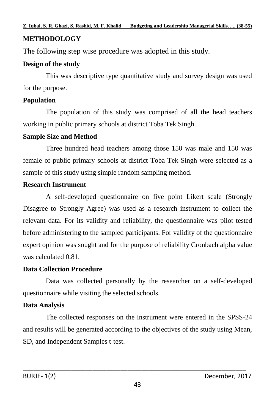# **METHODOLOGY**

The following step wise procedure was adopted in this study.

## **Design of the study**

This was descriptive type quantitative study and survey design was used for the purpose.

## **Population**

The population of this study was comprised of all the head teachers working in public primary schools at district Toba Tek Singh.

## **Sample Size and Method**

Three hundred head teachers among those 150 was male and 150 was female of public primary schools at district Toba Tek Singh were selected as a sample of this study using simple random sampling method.

# **Research Instrument**

A self-developed questionnaire on five point Likert scale (Strongly Disagree to Strongly Agree) was used as a research instrument to collect the relevant data. For its validity and reliability, the questionnaire was pilot tested before administering to the sampled participants. For validity of the questionnaire expert opinion was sought and for the purpose of reliability Cronbach alpha value was calculated 0.81.

## **Data Collection Procedure**

Data was collected personally by the researcher on a self-developed questionnaire while visiting the selected schools.

# **Data Analysis**

The collected responses on the instrument were entered in the SPSS-24 and results will be generated according to the objectives of the study using Mean, SD, and Independent Samples t-test.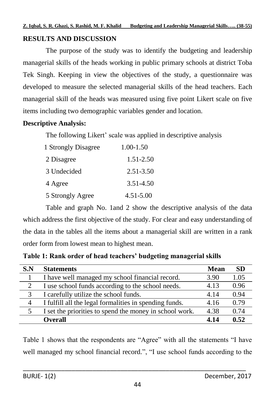### **RESULTS AND DISCUSSION**

The purpose of the study was to identify the budgeting and leadership managerial skills of the heads working in public primary schools at district Toba Tek Singh. Keeping in view the objectives of the study, a questionnaire was developed to measure the selected managerial skills of the head teachers. Each managerial skill of the heads was measured using five point Likert scale on five items including two demographic variables gender and location.

#### **Descriptive Analysis:**

The following Likert' scale was applied in descriptive analysis

| 1 Strongly Disagree | 1.00-1.50 |
|---------------------|-----------|
| 2 Disagree          | 1.51-2.50 |
| 3 Undecided         | 2.51-3.50 |
| 4 Agree             | 3.51-4.50 |
| 5 Strongly Agree    | 4.51-5.00 |

Table and graph No. 1and 2 show the descriptive analysis of the data which address the first objective of the study. For clear and easy understanding of the data in the tables all the items about a managerial skill are written in a rank order form from lowest mean to highest mean.

| S.N | <b>Statements</b>                                       | <b>Mean</b> | <b>SD</b> |
|-----|---------------------------------------------------------|-------------|-----------|
|     | I have well managed my school financial record.         | 3.90        | 1.05      |
| 2   | I use school funds according to the school needs.       | 4.13        | 0.96      |
| 3   | I carefully utilize the school funds.                   | 4 14        | 0.94      |
| 4   | I fulfill all the legal formalities in spending funds.  | 4.16        | 0.79      |
|     | I set the priorities to spend the money in school work. | 4.38        | 0.74      |
|     | <b>Overall</b>                                          | 4.14        | 0.52      |

**Table 1: Rank order of head teachers' budgeting managerial skills**

Table 1 shows that the respondents are "Agree" with all the statements "I have well managed my school financial record.", "I use school funds according to the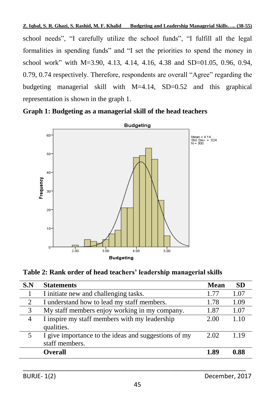school needs", "I carefully utilize the school funds", "I fulfill all the legal formalities in spending funds" and "I set the priorities to spend the money in school work" with M=3.90, 4.13, 4.14, 4.16, 4.38 and SD=01.05, 0.96, 0.94, 0.79, 0.74 respectively. Therefore, respondents are overall "Agree" regarding the budgeting managerial skill with M=4.14, SD=0.52 and this graphical representation is shown in the graph 1.





**Table 2: Rank order of head teachers' leadership managerial skills**

| S.N | <b>Statements</b>                                                      | <b>Mean</b> | <b>SD</b> |
|-----|------------------------------------------------------------------------|-------------|-----------|
|     | I initiate new and challenging tasks.                                  | 1.77        | 1.07      |
| 2   | I understand how to lead my staff members.                             | 1.78        | 1.09      |
| 3   | My staff members enjoy working in my company.                          | 1.87        | 1.07      |
| 4   | I inspire my staff members with my leadership<br>qualities.            | 2.00        | 1.10      |
| 5   | I give importance to the ideas and suggestions of my<br>staff members. | 2.02        | 1 1 9     |
|     | <b>Overall</b>                                                         | 1.89        | 0.88      |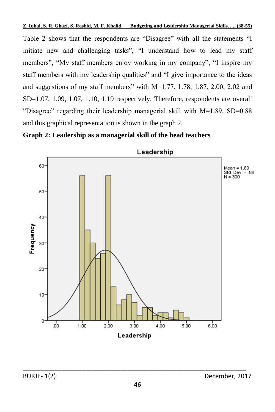Table 2 shows that the respondents are "Disagree" with all the statements "I initiate new and challenging tasks", "I understand how to lead my staff members", "My staff members enjoy working in my company", "I inspire my staff members with my leadership qualities" and "I give importance to the ideas and suggestions of my staff members" with M=1.77, 1.78, 1.87, 2.00, 2.02 and SD=1.07, 1.09, 1.07, 1.10, 1.19 respectively. Therefore, respondents are overall "Disagree" regarding their leadership managerial skill with M=1.89, SD=0.88 and this graphical representation is shown in the graph 2.





Leadership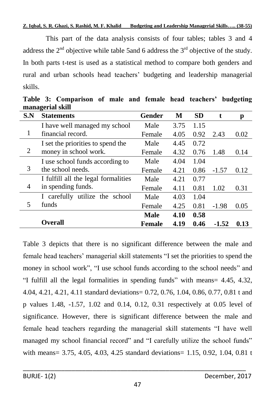This part of the data analysis consists of four tables; tables 3 and 4 address the  $2<sup>nd</sup>$  objective while table 5and 6 address the  $3<sup>rd</sup>$  objective of the study. In both parts t-test is used as a statistical method to compare both genders and rural and urban schools head teachers' budgeting and leadership managerial skills.

| S.N | $\mathbf{m}\mathbf{m}\mathbf{m}$<br><b>Statements</b> | <b>Gender</b> | M    | <b>SD</b> | t       | р    |
|-----|-------------------------------------------------------|---------------|------|-----------|---------|------|
|     | I have well managed my school                         | Male          | 3.75 | 1.15      |         |      |
| 1   | financial record.                                     | Female        | 4.05 | 0.92      | 2.43    | 0.02 |
|     | I set the priorities to spend the                     | Male          | 4.45 | 0.72      |         |      |
| 2   | money in school work.                                 | Female        | 4.32 | 0.76      | 1.48    | 0.14 |
|     | I use school funds according to                       | Male          | 4.04 | 1.04      |         |      |
| 3   | the school needs.                                     | Female        | 4.21 | 0.86      | $-1.57$ | 0.12 |
|     | I fulfill all the legal formalities                   | Male          | 4.21 | 0.77      |         |      |
| 4   | in spending funds.                                    | Female        | 4.11 | 0.81      | 1.02    | 0.31 |
|     | I carefully utilize the school                        | Male          | 4.03 | 1.04      |         |      |
| 5   | funds                                                 | Female        | 4.25 | 0.81      | $-1.98$ | 0.05 |
|     |                                                       | Male          | 4.10 | 0.58      |         |      |
|     | <b>Overall</b>                                        | <b>Female</b> | 4.19 | 0.46      | $-1.52$ | 0.13 |

**Table 3: Comparison of male and female head teachers' budgeting managerial skill**

Table 3 depicts that there is no significant difference between the male and female head teachers' managerial skill statements "I set the priorities to spend the money in school work", "I use school funds according to the school needs" and "I fulfill all the legal formalities in spending funds" with means= 4.45, 4.32, 4.04, 4.21, 4.21, 4.11 standard deviations= 0.72, 0.76, 1.04, 0.86, 0.77, 0.81 t and p values 1.48, -1.57, 1.02 and 0.14, 0.12, 0.31 respectively at 0.05 level of significance. However, there is significant difference between the male and female head teachers regarding the managerial skill statements "I have well managed my school financial record" and "I carefully utilize the school funds" with means= 3.75, 4.05, 4.03, 4.25 standard deviations= 1.15, 0.92, 1.04, 0.81 t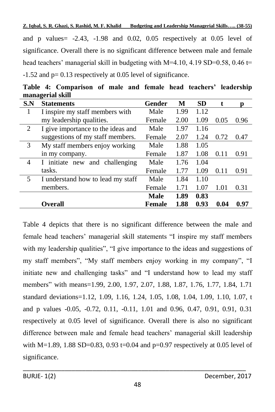and p values  $-2.43$ ,  $-1.98$  and 0.02, 0.05 respectively at 0.05 level of significance. Overall there is no significant difference between male and female head teachers' managerial skill in budgeting with  $M=4.10, 4.19$  SD=0.58, 0.46 t= -1.52 and p= 0.13 respectively at 0.05 level of significance.

|                | managerial skill                   |        |      |           |      |      |
|----------------|------------------------------------|--------|------|-----------|------|------|
| S.N            | <b>Statements</b>                  | Gender | M    | <b>SD</b> | t.   | p    |
| 1              | I inspire my staff members with    | Male   | 1.99 | 1.12      |      |      |
|                | my leadership qualities.           | Female | 2.00 | 1.09      | 0.05 | 0.96 |
| $\overline{2}$ | I give importance to the ideas and | Male   | 1.97 | 1.16      |      |      |
|                | suggestions of my staff members.   | Female | 2.07 | 1.24      | 0.72 | 0.47 |
| 3              | My staff members enjoy working     | Male   | 1.88 | 1.05      |      |      |
|                | in my company.                     | Female | 1.87 | 1.08      | 0.11 | 0.91 |
| 4              | I initiate new<br>and challenging  | Male   | 1.76 | 1.04      |      |      |
|                | tasks.                             | Female | 1.77 | 1.09      | 0.11 | 0.91 |
| 5              | I understand how to lead my staff  | Male   | 1.84 | 1.10      |      |      |
|                | members.                           | Female | 1.71 | 1.07      | 1.01 | 0.31 |
|                |                                    | Male   | 1.89 | 0.83      |      |      |
|                | <b>Overall</b>                     | Female | 1.88 | 0.93      | 0.04 | 0.97 |

**Table 4: Comparison of male and female head teachers' leadership managerial skill**

Table 4 depicts that there is no significant difference between the male and female head teachers' managerial skill statements "I inspire my staff members with my leadership qualities", "I give importance to the ideas and suggestions of my staff members", "My staff members enjoy working in my company", "I initiate new and challenging tasks" and "I understand how to lead my staff members" with means=1.99, 2.00, 1.97, 2.07, 1.88, 1.87, 1.76, 1.77, 1.84, 1.71 standard deviations=1.12, 1.09, 1.16, 1.24, 1.05, 1.08, 1.04, 1.09, 1.10, 1.07, t and p values -0.05, -0.72, 0.11, -0.11, 1.01 and 0.96, 0.47, 0.91, 0.91, 0.31 respectively at 0.05 level of significance. Overall there is also no significant difference between male and female head teachers' managerial skill leadership with M=1.89, 1.88 SD=0.83, 0.93 t=0.04 and p=0.97 respectively at 0.05 level of significance.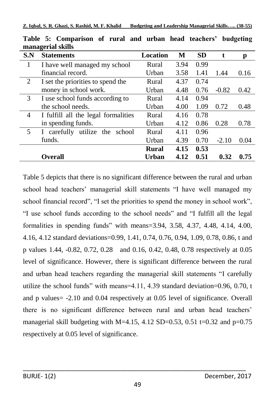| шападстат экшэ |                                     |              |      |           |         |      |
|----------------|-------------------------------------|--------------|------|-----------|---------|------|
| S.N            | <b>Statements</b>                   | Location     | М    | <b>SD</b> | t.      | p    |
| 1              | I have well managed my school       | Rural        | 3.94 | 0.99      |         |      |
|                | financial record.                   | Urban        | 3.58 | 1.41      | 1.44    | 0.16 |
| 2              | I set the priorities to spend the   | Rural        | 4.37 | 0.74      |         |      |
|                | money in school work.               | Urban        | 4.48 | 0.76      | $-0.82$ | 0.42 |
| 3              | I use school funds according to     | Rural        | 4.14 | 0.94      |         |      |
|                | the school needs.                   | Urban        | 4.00 | 1.09      | 0.72    | 0.48 |
| 4              | I fulfill all the legal formalities | Rural        | 4.16 | 0.78      |         |      |
|                | in spending funds.                  | Urban        | 4.12 | 0.86      | 0.28    | 0.78 |
| 5              | I carefully utilize the school      | Rural        | 4.11 | 0.96      |         |      |
|                | funds.                              | Urban        | 4.39 | 0.70      | $-2.10$ | 0.04 |
|                |                                     | <b>Rural</b> | 4.15 | 0.53      |         |      |
|                | Overall)                            | Urban        | 4.12 | 0.51      | 0.32    | 0.75 |

**Table 5: Comparison of rural and urban head teachers' budgeting managerial skills**

Table 5 depicts that there is no significant difference between the rural and urban school head teachers' managerial skill statements "I have well managed my school financial record", "I set the priorities to spend the money in school work", "I use school funds according to the school needs" and "I fulfill all the legal formalities in spending funds" with means=3.94, 3.58, 4.37, 4.48, 4.14, 4.00, 4.16, 4.12 standard deviations=0.99, 1.41, 0.74, 0.76, 0.94, 1.09, 0.78, 0.86, t and p values 1.44, -0.82, 0.72, 0.28 and 0.16, 0.42, 0.48, 0.78 respectively at 0.05 level of significance. However, there is significant difference between the rural and urban head teachers regarding the managerial skill statements "I carefully utilize the school funds" with means=4.11, 4.39 standard deviation=0.96, 0.70, t and p values= -2.10 and 0.04 respectively at 0.05 level of significance. Overall there is no significant difference between rural and urban head teachers' managerial skill budgeting with M=4.15, 4.12 SD=0.53, 0.51 t=0.32 and p=0.75 respectively at 0.05 level of significance.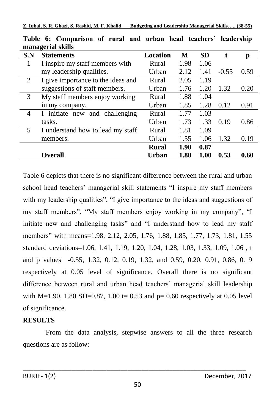|                | піападсі на экіпэ                  |          |      |           |         |      |
|----------------|------------------------------------|----------|------|-----------|---------|------|
| S.N            | <b>Statements</b>                  | Location | М    | <b>SD</b> |         | n    |
| 1              | I inspire my staff members with    | Rural    | 1.98 | 1.06      |         |      |
|                | my leadership qualities.           | Urban    | 2.12 | 1.41      | $-0.55$ | 0.59 |
| 2              | I give importance to the ideas and | Rural    | 2.05 | 1.19      |         |      |
|                | suggestions of staff members.      | Urban    | 1.76 | 1.20      | 1.32    | 0.20 |
| 3              | My staff members enjoy working     | Rural    | 1.88 | 1.04      |         |      |
|                | in my company.                     | Urban    | 1.85 | 1.28      | 0.12    | 0.91 |
| $\overline{4}$ | I initiate new and challenging     | Rural    | 1.77 | 1.03      |         |      |
|                | tasks.                             | Urban    | 1.73 | 1.33      | 0.19    | 0.86 |
| 5              | I understand how to lead my staff  | Rural    | 1.81 | 1.09      |         |      |
|                | members.                           | Urban    | 1.55 | 1.06      | 1.32    | 0.19 |
|                |                                    | Rural    | 1.90 | 0.87      |         |      |
|                | <b>Overall</b>                     | Urban    | 1.80 | 1.00      | 0.53    | 0.60 |

**Table 6: Comparison of rural and urban head teachers' leadership managerial skills**

Table 6 depicts that there is no significant difference between the rural and urban school head teachers' managerial skill statements "I inspire my staff members with my leadership qualities", "I give importance to the ideas and suggestions of my staff members", "My staff members enjoy working in my company", "I initiate new and challenging tasks" and "I understand how to lead my staff members" with means=1.98, 2.12, 2.05, 1.76, 1.88, 1.85, 1.77, 1.73, 1.81, 1.55 standard deviations=1.06, 1.41, 1.19, 1.20, 1.04, 1.28, 1.03, 1.33, 1.09, 1.06 , t and p values -0.55, 1.32, 0.12, 0.19, 1.32, and 0.59, 0.20, 0.91, 0.86, 0.19 respectively at 0.05 level of significance. Overall there is no significant difference between rural and urban head teachers' managerial skill leadership with M=1.90, 1.80 SD=0.87, 1.00 t= 0.53 and p= 0.60 respectively at 0.05 level of significance.

## **RESULTS**

From the data analysis, stepwise answers to all the three research questions are as follow: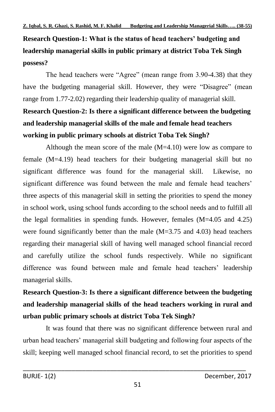# **Research Question-1: What is the status of head teachers' budgeting and leadership managerial skills in public primary at district Toba Tek Singh possess?**

The head teachers were "Agree" (mean range from 3.90-4.38) that they have the budgeting managerial skill. However, they were "Disagree" (mean range from 1.77-2.02) regarding their leadership quality of managerial skill.

# **Research Question-2: Is there a significant difference between the budgeting and leadership managerial skills of the male and female head teachers working in public primary schools at district Toba Tek Singh?**

Although the mean score of the male  $(M=4.10)$  were low as compare to female (M=4.19) head teachers for their budgeting managerial skill but no significant difference was found for the managerial skill. Likewise, no significant difference was found between the male and female head teachers' three aspects of this managerial skill in setting the priorities to spend the money in school work, using school funds according to the school needs and to fulfill all the legal formalities in spending funds. However, females (M=4.05 and 4.25) were found significantly better than the male  $(M=3.75$  and 4.03) head teachers regarding their managerial skill of having well managed school financial record and carefully utilize the school funds respectively. While no significant difference was found between male and female head teachers' leadership managerial skills.

**Research Question-3: Is there a significant difference between the budgeting and leadership managerial skills of the head teachers working in rural and urban public primary schools at district Toba Tek Singh?**

It was found that there was no significant difference between rural and urban head teachers' managerial skill budgeting and following four aspects of the skill; keeping well managed school financial record, to set the priorities to spend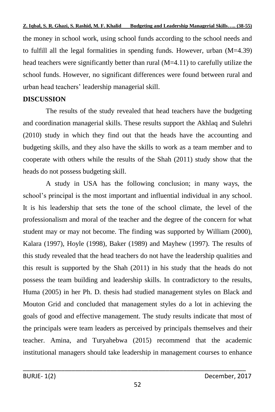the money in school work, using school funds according to the school needs and to fulfill all the legal formalities in spending funds. However, urban (M=4.39) head teachers were significantly better than rural (M=4.11) to carefully utilize the school funds. However, no significant differences were found between rural and urban head teachers' leadership managerial skill.

# **DISCUSSION**

The results of the study revealed that head teachers have the budgeting and coordination managerial skills. These results support the Akhlaq and Sulehri (2010) study in which they find out that the heads have the accounting and budgeting skills, and they also have the skills to work as a team member and to cooperate with others while the results of the Shah (2011) study show that the heads do not possess budgeting skill.

A study in USA has the following conclusion; in many ways, the school's principal is the most important and influential individual in any school. It is his leadership that sets the tone of the school climate, the level of the professionalism and moral of the teacher and the degree of the concern for what student may or may not become. The finding was supported by William (2000), Kalara (1997), Hoyle (1998), Baker (1989) and Mayhew (1997). The results of this study revealed that the head teachers do not have the leadership qualities and this result is supported by the Shah (2011) in his study that the heads do not possess the team building and leadership skills. In contradictory to the results, Huma (2005) in her Ph. D. thesis had studied management styles on Black and Mouton Grid and concluded that management styles do a lot in achieving the goals of good and effective management. The study results indicate that most of the principals were team leaders as perceived by principals themselves and their teacher. Amina, and Turyahebwa (2015) recommend that the academic institutional managers should take leadership in management courses to enhance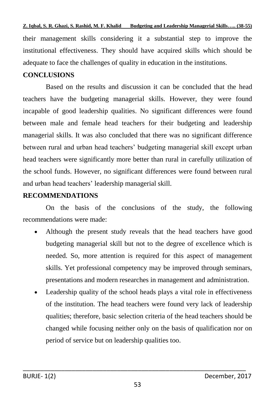their management skills considering it a substantial step to improve the institutional effectiveness. They should have acquired skills which should be adequate to face the challenges of quality in education in the institutions.

#### **CONCLUSIONS**

Based on the results and discussion it can be concluded that the head teachers have the budgeting managerial skills. However, they were found incapable of good leadership qualities. No significant differences were found between male and female head teachers for their budgeting and leadership managerial skills. It was also concluded that there was no significant difference between rural and urban head teachers' budgeting managerial skill except urban head teachers were significantly more better than rural in carefully utilization of the school funds. However, no significant differences were found between rural and urban head teachers' leadership managerial skill.

#### **RECOMMENDATIONS**

On the basis of the conclusions of the study, the following recommendations were made:

- Although the present study reveals that the head teachers have good budgeting managerial skill but not to the degree of excellence which is needed. So, more attention is required for this aspect of management skills. Yet professional competency may be improved through seminars, presentations and modern researches in management and administration.
- Leadership quality of the school heads plays a vital role in effectiveness of the institution. The head teachers were found very lack of leadership qualities; therefore, basic selection criteria of the head teachers should be changed while focusing neither only on the basis of qualification nor on period of service but on leadership qualities too.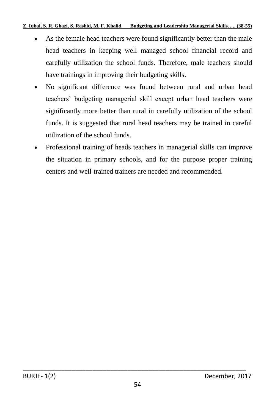- As the female head teachers were found significantly better than the male head teachers in keeping well managed school financial record and carefully utilization the school funds. Therefore, male teachers should have trainings in improving their budgeting skills.
- No significant difference was found between rural and urban head teachers' budgeting managerial skill except urban head teachers were significantly more better than rural in carefully utilization of the school funds. It is suggested that rural head teachers may be trained in careful utilization of the school funds.
- Professional training of heads teachers in managerial skills can improve the situation in primary schools, and for the purpose proper training centers and well-trained trainers are needed and recommended.